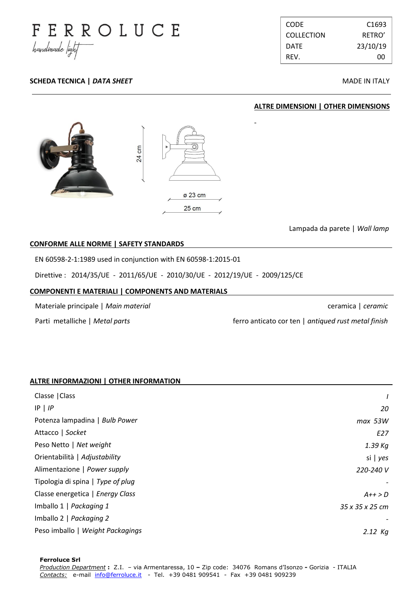

**SCHEDA TECNICA |** *DATA SHEET* **MADE IN ITALY** 

CODE C1693 COLLECTION RETRO' DATE 23/10/19 REV. 00

**ALTRE DIMENSIONI | OTHER DIMENSIONS**

# cm 24 ø 23 cm  $25 \text{ cm}$

Lampada da parete | *Wall lamp*

ceramica | *ceramic*

## **CONFORME ALLE NORME | SAFETY STANDARDS .**

EN 60598-2-1:1989 used in conjunction with EN 60598-1:2015-01

Direttive : 2014/35/UE - 2011/65/UE - 2010/30/UE - 2012/19/UE - 2009/125/CE

#### **COMPONENTI E MATERIALI | COMPONENTS AND MATERIALS .**

Materiale principale | *Main material*

Parti metalliche | *Metal parts*

ferro anticato cor ten | *antiqued rust metal finish*

### **ALTRE INFORMAZIONI | OTHER INFORMATION .**

| Classe   Class                    |                 |
|-----------------------------------|-----------------|
| $IP$   $IP$                       | 20              |
| Potenza lampadina   Bulb Power    | $max$ 53W       |
| Attacco   Socket                  | E27             |
| Peso Netto   Net weight           | 1.39 Kg         |
| Orientabilità   Adjustability     | si   $yes$      |
| Alimentazione   Power supply      | 220-240 V       |
| Tipologia di spina   Type of plug |                 |
| Classe energetica   Energy Class  | $A++>D$         |
| Imballo 1   Packaging 1           | 35 x 35 x 25 cm |
| Imballo 2   Packaging 2           |                 |
| Peso imballo   Weight Packagings  | $2.12$ Kg       |

. .

-